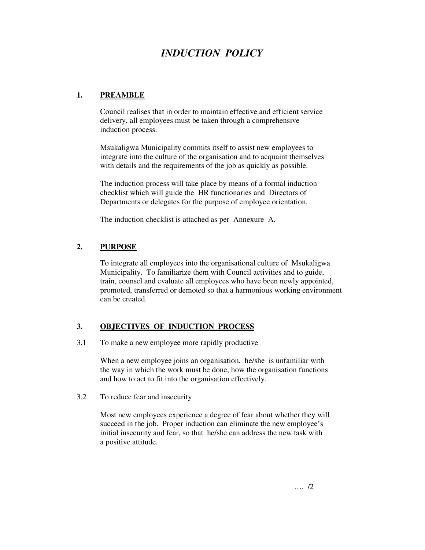# *INDUCTION POLICY*

### **1. PREAMBLE**

 Council realises that in order to maintain effective and efficient service delivery, all employees must be taken through a comprehensive induction process.

 Msukaligwa Municipality commits itself to assist new employees to integrate into the culture of the organisation and to acquaint themselves with details and the requirements of the job as quickly as possible.

 The induction process will take place by means of a formal induction checklist which will guide the HR functionaries and Directors of Departments or delegates for the purpose of employee orientation.

The induction checklist is attached as per Annexure A.

### **2. PURPOSE**

 To integrate all employees into the organisational culture of Msukaligwa Municipality. To familiarize them with Council activities and to guide, train, counsel and evaluate all employees who have been newly appointed, promoted, transferred or demoted so that a harmonious working environment can be created.

# **3. OBJECTIVES OF INDUCTION PROCESS**

3.1 To make a new employee more rapidly productive

When a new employee joins an organisation, he/she is unfamiliar with the way in which the work must be done, how the organisation functions and how to act to fit into the organisation effectively.

3.2 To reduce fear and insecurity

Most new employees experience a degree of fear about whether they will succeed in the job. Proper induction can eliminate the new employee's initial insecurity and fear, so that he/she can address the new task with a positive attitude.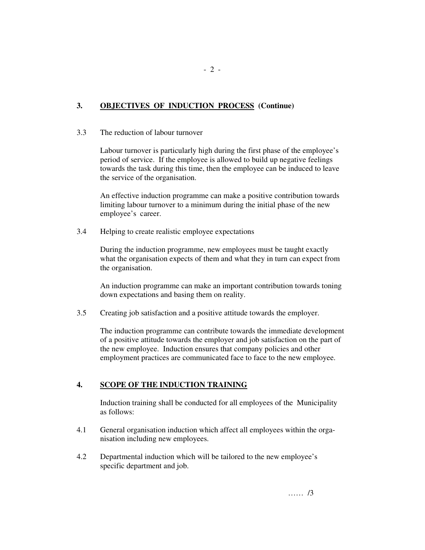# **3. OBJECTIVES OF INDUCTION PROCESS (Continue)**

### 3.3 The reduction of labour turnover

Labour turnover is particularly high during the first phase of the employee's period of service. If the employee is allowed to build up negative feelings towards the task during this time, then the employee can be induced to leave the service of the organisation.

An effective induction programme can make a positive contribution towards limiting labour turnover to a minimum during the initial phase of the new employee's career.

3.4 Helping to create realistic employee expectations

During the induction programme, new employees must be taught exactly what the organisation expects of them and what they in turn can expect from the organisation.

An induction programme can make an important contribution towards toning down expectations and basing them on reality.

3.5 Creating job satisfaction and a positive attitude towards the employer.

The induction programme can contribute towards the immediate development of a positive attitude towards the employer and job satisfaction on the part of the new employee. Induction ensures that company policies and other employment practices are communicated face to face to the new employee.

# **4. SCOPE OF THE INDUCTION TRAINING**

 Induction training shall be conducted for all employees of the Municipality as follows:

- 4.1 General organisation induction which affect all employees within the organisation including new employees.
- 4.2 Departmental induction which will be tailored to the new employee's specific department and job.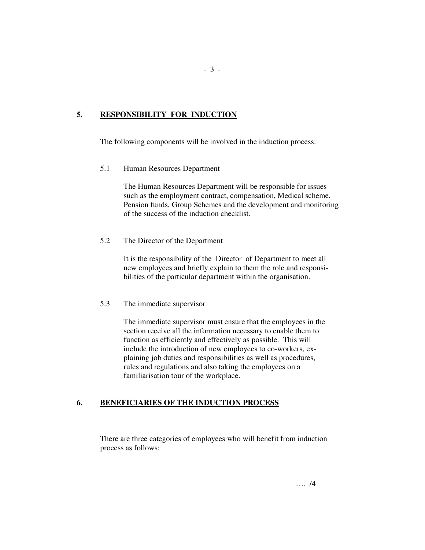# **5. RESPONSIBILITY FOR INDUCTION**

The following components will be involved in the induction process:

5.1 Human Resources Department

The Human Resources Department will be responsible for issues such as the employment contract, compensation, Medical scheme, Pension funds, Group Schemes and the development and monitoring of the success of the induction checklist.

5.2 The Director of the Department

 It is the responsibility of the Director of Department to meet all new employees and briefly explain to them the role and responsi bilities of the particular department within the organisation.

5.3 The immediate supervisor

 The immediate supervisor must ensure that the employees in the section receive all the information necessary to enable them to function as efficiently and effectively as possible. This will include the introduction of new employees to co-workers, ex plaining job duties and responsibilities as well as procedures, rules and regulations and also taking the employees on a familiarisation tour of the workplace.

# **6. BENEFICIARIES OF THE INDUCTION PROCESS**

 There are three categories of employees who will benefit from induction process as follows: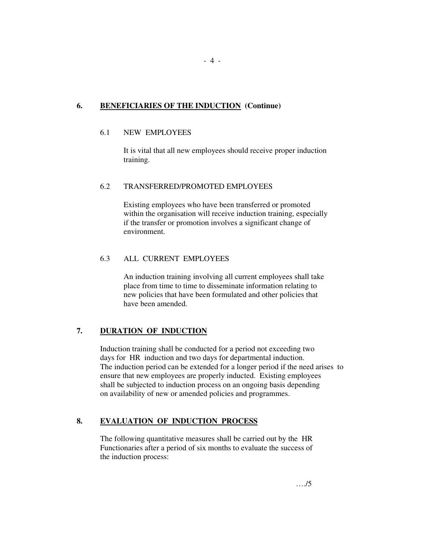### **6. BENEFICIARIES OF THE INDUCTION (Continue)**

### 6.1 NEW EMPLOYEES

 It is vital that all new employees should receive proper induction training.

### 6.2 TRANSFERRED/PROMOTED EMPLOYEES

 Existing employees who have been transferred or promoted within the organisation will receive induction training, especially if the transfer or promotion involves a significant change of environment.

### 6.3 ALL CURRENT EMPLOYEES

 An induction training involving all current employees shall take place from time to time to disseminate information relating to new policies that have been formulated and other policies that have been amended.

# **7. DURATION OF INDUCTION**

 Induction training shall be conducted for a period not exceeding two days for HR induction and two days for departmental induction. The induction period can be extended for a longer period if the need arises to ensure that new employees are properly inducted. Existing employees shall be subjected to induction process on an ongoing basis depending on availability of new or amended policies and programmes.

# **8. EVALUATION OF INDUCTION PROCESS**

 The following quantitative measures shall be carried out by the HR Functionaries after a period of six months to evaluate the success of the induction process: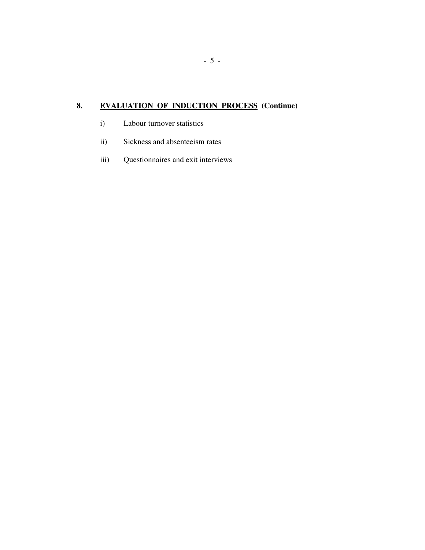# **8. EVALUATION OF INDUCTION PROCESS (Continue)**

- i) Labour turnover statistics
- ii) Sickness and absenteeism rates
- iii) Questionnaires and exit interviews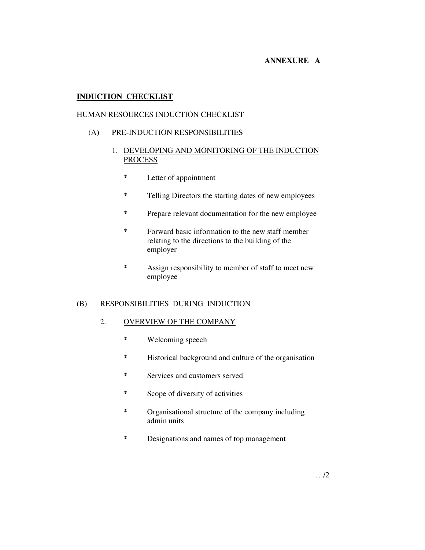### **ANNEXURE A**

### **INDUCTION CHECKLIST**

### HUMAN RESOURCES INDUCTION CHECKLIST

#### (A) PRE-INDUCTION RESPONSIBILITIES

### 1. DEVELOPING AND MONITORING OF THE INDUCTION PROCESS

- \* Letter of appointment
- \* Telling Directors the starting dates of new employees
- \* Prepare relevant documentation for the new employee
- \* Forward basic information to the new staff member relating to the directions to the building of the employer
- \* Assign responsibility to member of staff to meet new employee

#### (B) RESPONSIBILITIES DURING INDUCTION

### 2. OVERVIEW OF THE COMPANY

- \* Welcoming speech
- \* Historical background and culture of the organisation
- \* Services and customers served
- \* Scope of diversity of activities
- \* Organisational structure of the company including admin units
- \* Designations and names of top management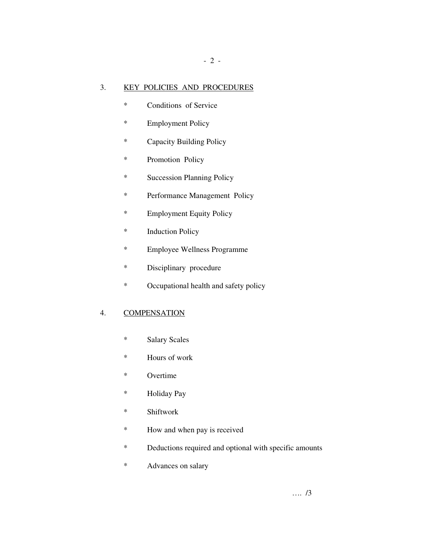### 3. KEY POLICIES AND PROCEDURES

- 2 -

- \* Conditions of Service
- \* Employment Policy
- \* Capacity Building Policy
- \* Promotion Policy
- \* Succession Planning Policy
- \* Performance Management Policy
- \* Employment Equity Policy
- \* Induction Policy
- \* Employee Wellness Programme
- \* Disciplinary procedure
- \* Occupational health and safety policy

### 4. COMPENSATION

- \* Salary Scales
- \* Hours of work
- \* Overtime
- \* Holiday Pay
- \* Shiftwork
- \* How and when pay is received
- \* Deductions required and optional with specific amounts
- \* Advances on salary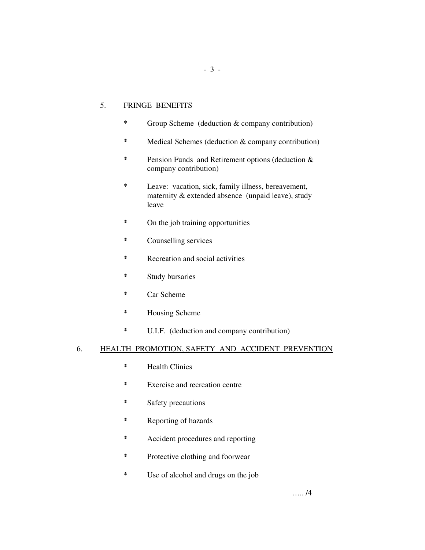### 5. FRINGE BENEFITS

- \* Group Scheme (deduction & company contribution)
- \* Medical Schemes (deduction & company contribution)
- \* Pension Funds and Retirement options (deduction & company contribution)
- \* Leave: vacation, sick, family illness, bereavement, maternity & extended absence (unpaid leave), study leave
- \* On the job training opportunities
- \* Counselling services
- \* Recreation and social activities
- \* Study bursaries
- \* Car Scheme
- \* Housing Scheme
- \* U.I.F. (deduction and company contribution)

#### 6. HEALTH PROMOTION, SAFETY AND ACCIDENT PREVENTION

- \* Health Clinics
- \* Exercise and recreation centre
- \* Safety precautions
- \* Reporting of hazards
- \* Accident procedures and reporting
- \* Protective clothing and foorwear
- \* Use of alcohol and drugs on the job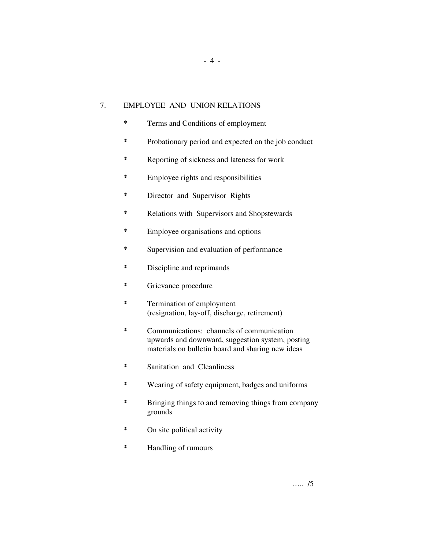### 7. EMPLOYEE AND UNION RELATIONS

- \* Terms and Conditions of employment
- \* Probationary period and expected on the job conduct

- 4 -

- \* Reporting of sickness and lateness for work
- \* Employee rights and responsibilities
- \* Director and Supervisor Rights
- \* Relations with Supervisors and Shopstewards
- \* Employee organisations and options
- \* Supervision and evaluation of performance
- \* Discipline and reprimands
- \* Grievance procedure
- \* Termination of employment (resignation, lay-off, discharge, retirement)
- \* Communications: channels of communication upwards and downward, suggestion system, posting materials on bulletin board and sharing new ideas
- \* Sanitation and Cleanliness
- \* Wearing of safety equipment, badges and uniforms
- \* Bringing things to and removing things from company grounds
- \* On site political activity
- \* Handling of rumours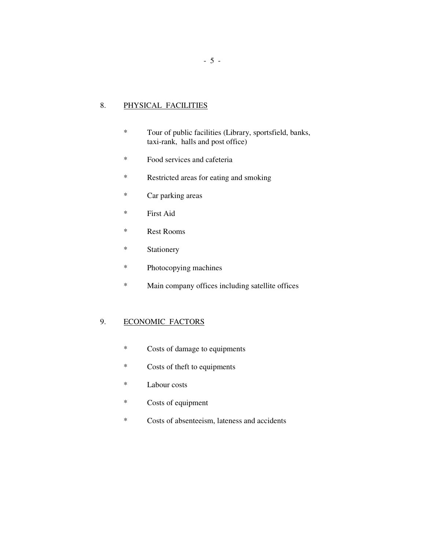# 8. PHYSICAL FACILITIES

- \* Tour of public facilities (Library, sportsfield, banks, taxi-rank, halls and post office)
- \* Food services and cafeteria
- \* Restricted areas for eating and smoking
- \* Car parking areas
- \* First Aid
- \* Rest Rooms
- \* Stationery
- \* Photocopying machines
- \* Main company offices including satellite offices

# 9. ECONOMIC FACTORS

- \* Costs of damage to equipments
- \* Costs of theft to equipments
- \* Labour costs
- \* Costs of equipment
- \* Costs of absenteeism, lateness and accidents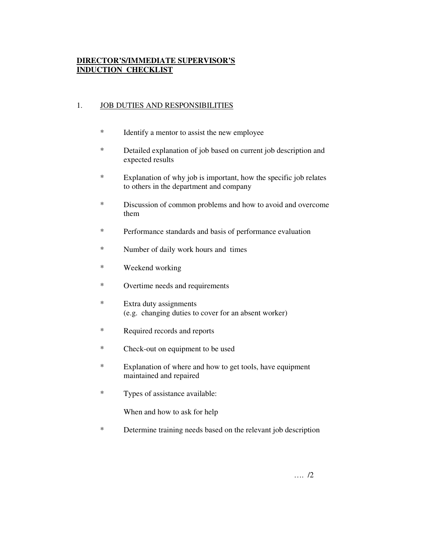# **DIRECTOR'S/IMMEDIATE SUPERVISOR'S INDUCTION CHECKLIST**

### 1. JOB DUTIES AND RESPONSIBILITIES

- \* Identify a mentor to assist the new employee
- \* Detailed explanation of job based on current job description and expected results
- \* Explanation of why job is important, how the specific job relates to others in the department and company
- \* Discussion of common problems and how to avoid and overcome them
- \* Performance standards and basis of performance evaluation
- \* Number of daily work hours and times
- \* Weekend working
- \* Overtime needs and requirements
- \* Extra duty assignments (e.g. changing duties to cover for an absent worker)
- \* Required records and reports
- \* Check-out on equipment to be used
- \* Explanation of where and how to get tools, have equipment maintained and repaired
- \* Types of assistance available:

When and how to ask for help

\* Determine training needs based on the relevant job description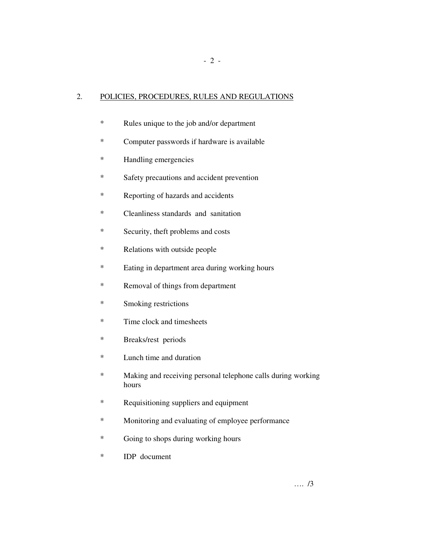# 2. POLICIES, PROCEDURES, RULES AND REGULATIONS

- 2 -

- \* Rules unique to the job and/or department
- \* Computer passwords if hardware is available
- \* Handling emergencies
- \* Safety precautions and accident prevention
- \* Reporting of hazards and accidents
- \* Cleanliness standards and sanitation
- \* Security, theft problems and costs
- \* Relations with outside people
- \* Eating in department area during working hours
- \* Removal of things from department
- \* Smoking restrictions
- \* Time clock and timesheets
- \* Breaks/rest periods
- \* Lunch time and duration
- \* Making and receiving personal telephone calls during working hours
- \* Requisitioning suppliers and equipment
- \* Monitoring and evaluating of employee performance
- \* Going to shops during working hours
- \* IDP document